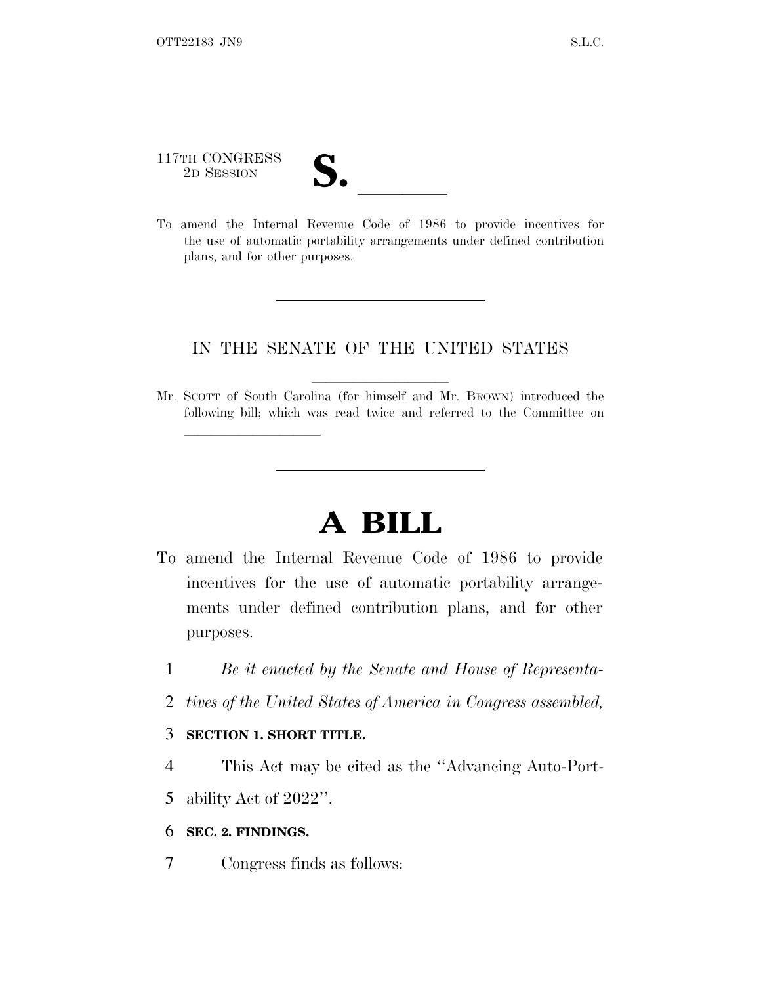# 117TH CONGRESS 117TH CONGRESS<br>
2D SESSION<br>
To amend the Internal Revenue Code of 1986 to provide incentives for

lland and a state of the state of the state of the state of the state of the state of the state of the state o

the use of automatic portability arrangements under defined contribution plans, and for other purposes.

#### IN THE SENATE OF THE UNITED STATES

Mr. SCOTT of South Carolina (for himself and Mr. BROWN) introduced the following bill; which was read twice and referred to the Committee on

# **A BILL**

- To amend the Internal Revenue Code of 1986 to provide incentives for the use of automatic portability arrangements under defined contribution plans, and for other purposes.
	- 1 *Be it enacted by the Senate and House of Representa-*
	- 2 *tives of the United States of America in Congress assembled,*

#### 3 **SECTION 1. SHORT TITLE.**

4 This Act may be cited as the ''Advancing Auto-Port-

5 ability Act of 2022''.

#### 6 **SEC. 2. FINDINGS.**

7 Congress finds as follows: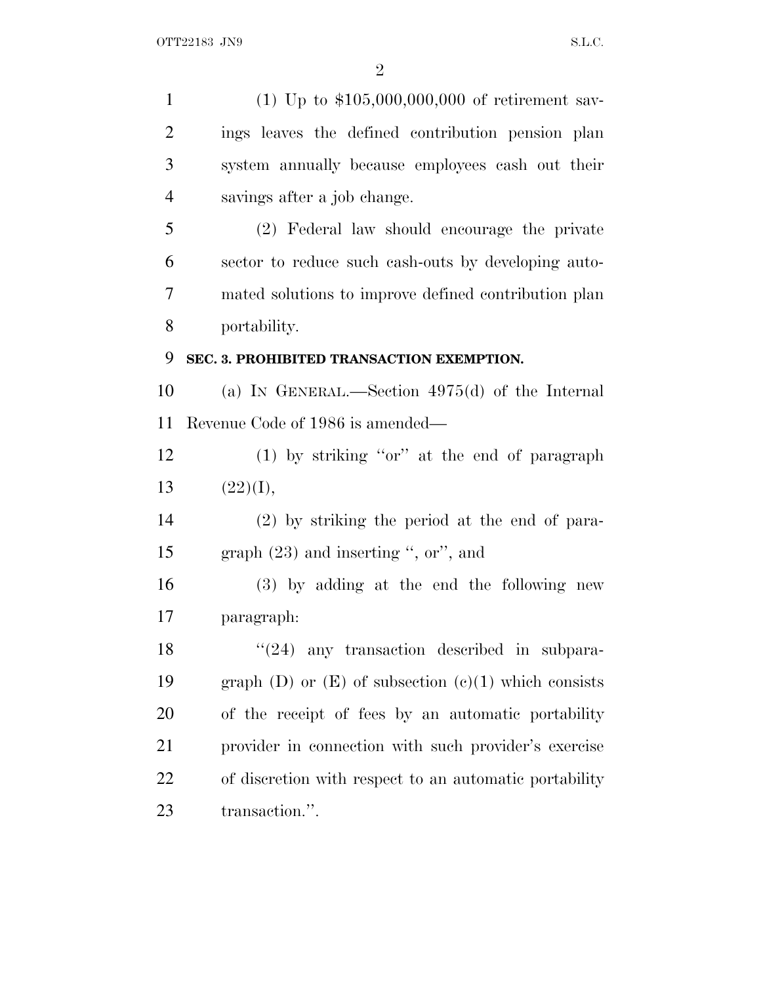(1) Up to \$105,000,000,000 of retirement sav- ings leaves the defined contribution pension plan system annually because employees cash out their savings after a job change. (2) Federal law should encourage the private sector to reduce such cash-outs by developing auto- mated solutions to improve defined contribution plan portability. **SEC. 3. PROHIBITED TRANSACTION EXEMPTION.** (a) I<sup>N</sup> GENERAL.—Section 4975(d) of the Internal Revenue Code of 1986 is amended— (1) by striking ''or'' at the end of paragraph 13  $(22)(I),$  (2) by striking the period at the end of para- graph (23) and inserting '', or'', and (3) by adding at the end the following new paragraph: 18 ''(24) any transaction described in subpara-19 graph (D) or  $(E)$  of subsection  $(e)(1)$  which consists of the receipt of fees by an automatic portability provider in connection with such provider's exercise of discretion with respect to an automatic portability transaction.''.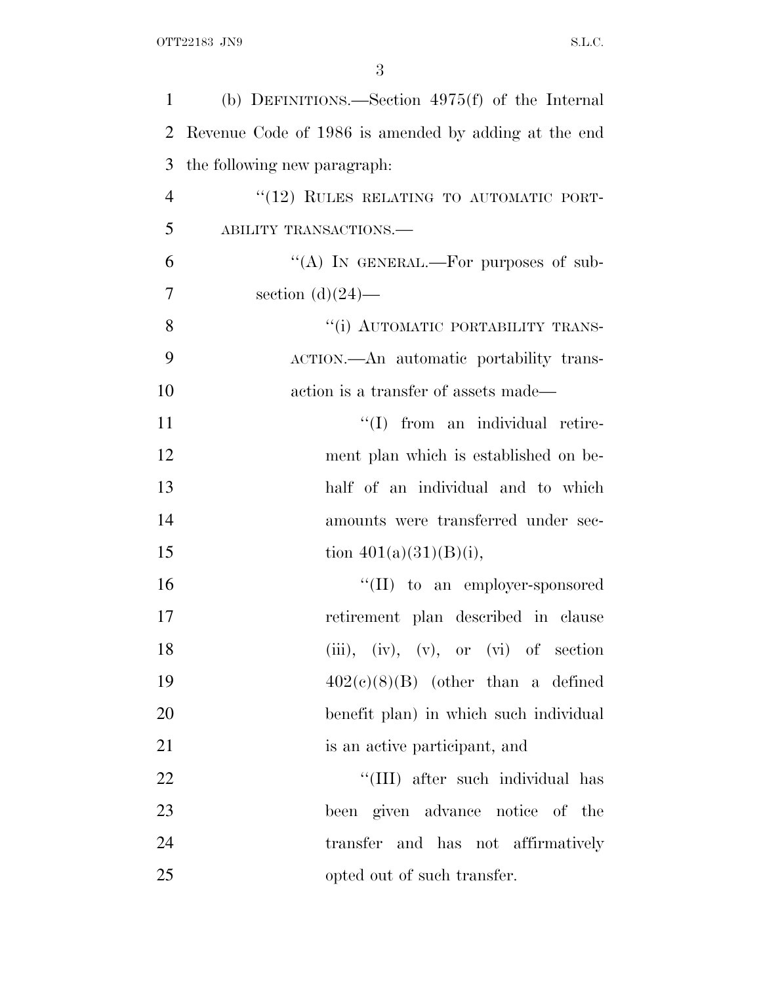| 1              | (b) DEFINITIONS.—Section $4975(f)$ of the Internal   |
|----------------|------------------------------------------------------|
| 2              | Revenue Code of 1986 is amended by adding at the end |
| 3              | the following new paragraph:                         |
| $\overline{4}$ | "(12) RULES RELATING TO AUTOMATIC PORT-              |
| 5              | ABILITY TRANSACTIONS.                                |
| 6              | "(A) IN GENERAL.—For purposes of sub-                |
| $\overline{7}$ | section $(d)(24)$ —                                  |
| 8              | "(i) AUTOMATIC PORTABILITY TRANS-                    |
| 9              | ACTION.—An automatic portability trans-              |
| 10             | action is a transfer of assets made—                 |
| 11             | "(I) from an individual retire-                      |
| 12             | ment plan which is established on be-                |
| 13             | half of an individual and to which                   |
| 14             | amounts were transferred under sec-                  |
| 15             | tion $401(a)(31)(B)(i)$ ,                            |
| 16             | $\lq\lq$ (II) to an employer-sponsored               |
| 17             | retirement plan described in clause                  |
| 18             | $(iii), (iv), (v), or (vi)$ of section               |
| 19             | $402(c)(8)(B)$ (other than a defined                 |
| 20             | benefit plan) in which such individual               |
| 21             | is an active participant, and                        |
| 22             | "(III) after such individual has                     |
| 23             | been given advance notice of the                     |
| 24             | transfer and has not affirmatively                   |
| 25             | opted out of such transfer.                          |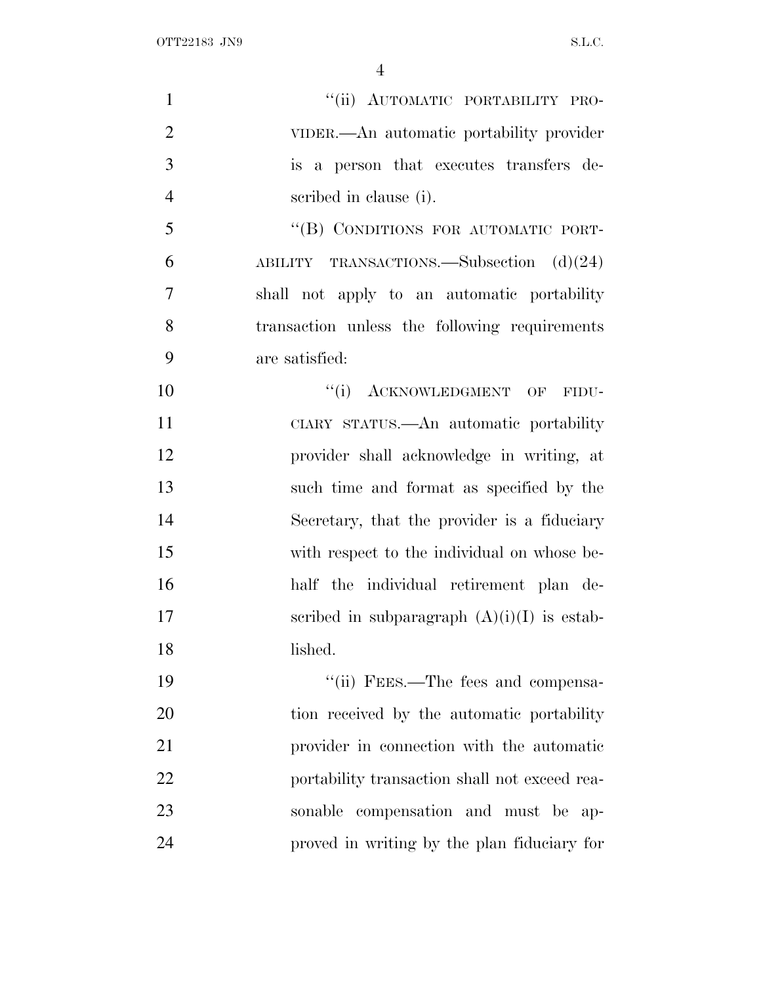| $\mathbf{1}$   | "(ii) AUTOMATIC PORTABILITY PRO-              |
|----------------|-----------------------------------------------|
| $\overline{2}$ | VIDER.—An automatic portability provider      |
| 3              | is a person that executes transfers de-       |
| $\overline{4}$ | scribed in clause (i).                        |
| 5              | "(B) CONDITIONS FOR AUTOMATIC PORT-           |
| 6              | ABILITY TRANSACTIONS.—Subsection $(d)(24)$    |
| 7              | shall not apply to an automatic portability   |
| 8              | transaction unless the following requirements |
| 9              | are satisfied:                                |
| 10             | "(i) ACKNOWLEDGMENT OF FIDU-                  |
| 11             | CIARY STATUS.—An automatic portability        |
| 12             | provider shall acknowledge in writing, at     |
| 13             | such time and format as specified by the      |
| 14             | Secretary, that the provider is a fiduciary   |
| 15             | with respect to the individual on whose be-   |
| 16             | half the individual retirement plan de-       |
| 17             | scribed in subparagraph $(A)(i)(I)$ is estab- |
| 18             | lished.                                       |
| 19             | "(ii) FEES.—The fees and compensa-            |
| 20             | tion received by the automatic portability    |
| 21             | provider in connection with the automatic     |
| 22             | portability transaction shall not exceed rea- |
| 23             | sonable compensation and must be ap-          |
| 24             | proved in writing by the plan fiduciary for   |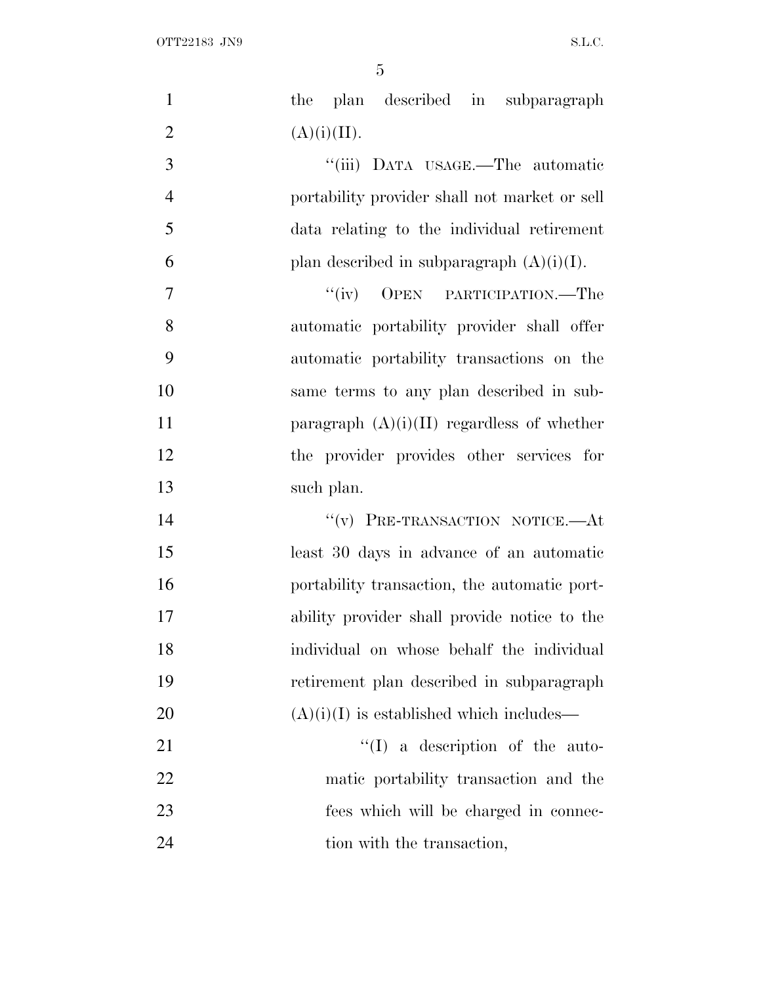| $\mathbf{1}$   | plan described in subparagraph<br>the         |
|----------------|-----------------------------------------------|
| $\overline{2}$ | (A)(i)(II).                                   |
| 3              | "(iii) DATA USAGE.—The automatic              |
| $\overline{4}$ | portability provider shall not market or sell |
| 5              | data relating to the individual retirement    |
| 6              | plan described in subparagraph $(A)(i)(I)$ .  |
| 7              | OPEN PARTICIPATION.—The<br>``(iv)             |
| 8              | automatic portability provider shall offer    |
| 9              | automatic portability transactions on the     |
| 10             | same terms to any plan described in sub-      |
| 11             | paragraph $(A)(i)(II)$ regardless of whether  |
| 12             | the provider provides other services for      |
| 13             | such plan.                                    |
| 14             | "(v) PRE-TRANSACTION NOTICE.-At               |
| 15             | least 30 days in advance of an automatic      |
| 16             | portability transaction, the automatic port-  |
| 17             | ability provider shall provide notice to the  |
| 18             | individual on whose behalf the individual     |
| 19             | retirement plan described in subparagraph     |
| 20             | $(A)(i)(I)$ is established which includes—    |
| 21             | $\lq\lq$ a description of the auto-           |
| 22             | matic portability transaction and the         |
| 23             | fees which will be charged in connec-         |
| 24             | tion with the transaction,                    |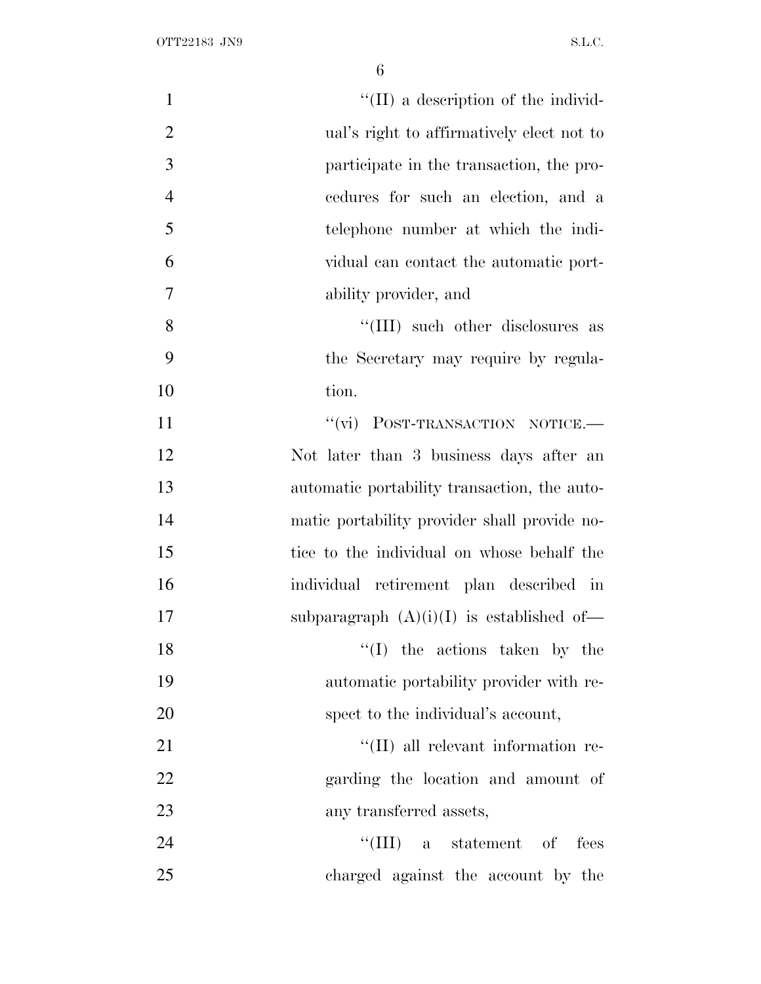| $\mathbf{1}$   | "(II) a description of the individ-          |
|----------------|----------------------------------------------|
| $\overline{2}$ | ual's right to affirmatively elect not to    |
| 3              | participate in the transaction, the pro-     |
| $\overline{4}$ | cedures for such an election, and a          |
| 5              | telephone number at which the indi-          |
| 6              | vidual can contact the automatic port-       |
| 7              | ability provider, and                        |
| $8\,$          | "(III) such other disclosures as             |
| 9              | the Secretary may require by regula-         |
| 10             | tion.                                        |
| 11             | "(vi) POST-TRANSACTION NOTICE.-              |
| 12             | Not later than 3 business days after an      |
| 13             | automatic portability transaction, the auto- |
| 14             | matic portability provider shall provide no- |
| 15             | tice to the individual on whose behalf the   |
| 16             | individual retirement plan described in      |
| 17             | subparagraph $(A)(i)(I)$ is established of-  |
| 18             | $\lq\lq$ the actions taken by the            |
| 19             | automatic portability provider with re-      |
| 20             | spect to the individual's account,           |
| 21             | "(II) all relevant information re-           |
| 22             | garding the location and amount of           |
| 23             | any transferred assets,                      |
| 24             | ``(III)<br>a statement of<br>fees            |
| 25             | charged against the account by the           |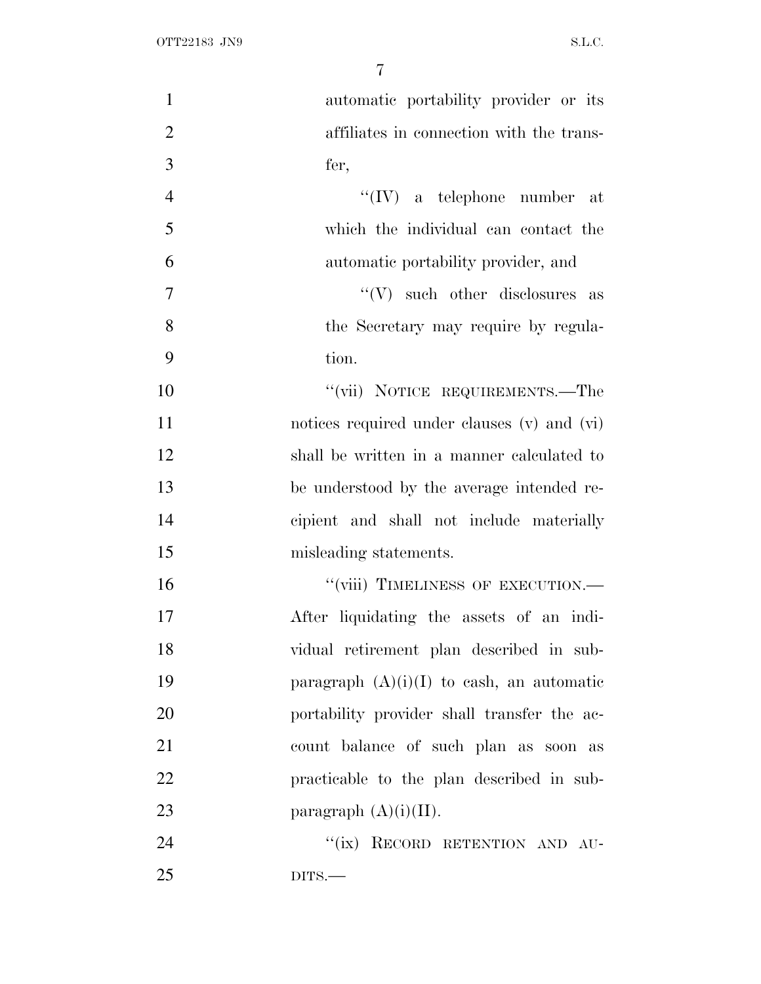| $\mathbf{1}$   | automatic portability provider or its       |
|----------------|---------------------------------------------|
| $\overline{2}$ | affiliates in connection with the trans-    |
| 3              | fer,                                        |
| $\overline{4}$ | $``(IV)$ a telephone number at              |
| 5              | which the individual can contact the        |
| 6              | automatic portability provider, and         |
| 7              | $\lq\lq (V)$ such other disclosures as      |
| 8              | the Secretary may require by regula-        |
| 9              | tion.                                       |
| 10             | "(vii) NOTICE REQUIREMENTS.—The             |
| 11             | notices required under clauses (v) and (vi) |
| 12             | shall be written in a manner calculated to  |
| 13             | be understood by the average intended re-   |
| 14             | cipient and shall not include materially    |
| 15             | misleading statements.                      |
| 16             | "(viii) TIMELINESS OF EXECUTION.-           |
| 17             | After liquidating the assets of an indi-    |
| 18             | vidual retirement plan described in sub-    |
| 19             | paragraph $(A)(i)(I)$ to eash, an automatic |
| 20             | portability provider shall transfer the ac- |
| 21             | count balance of such plan as soon as       |
| 22             | practicable to the plan described in sub-   |
| 23             | paragraph $(A)(i)(II)$ .                    |
| 24             | "(ix) RECORD RETENTION AND AU-              |
| 25             | $DITS$ .                                    |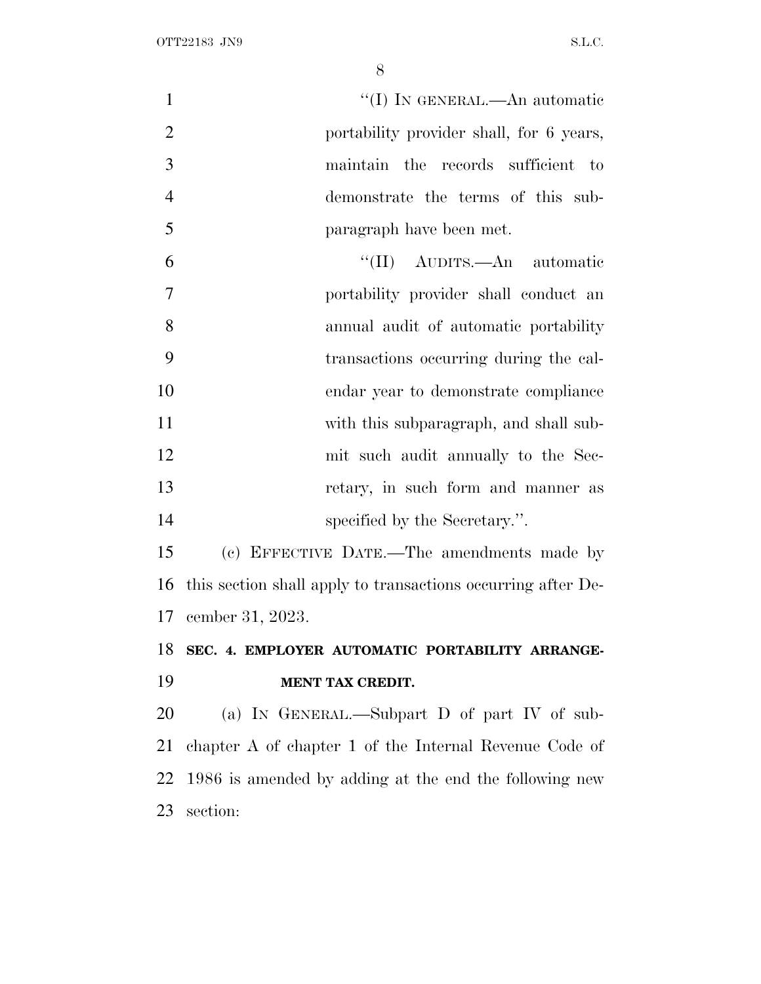1 ''(I) IN GENERAL.—An automatic portability provider shall, for 6 years, maintain the records sufficient to demonstrate the terms of this sub-paragraph have been met.

 ''(II) AUDITS.—An automatic portability provider shall conduct an annual audit of automatic portability transactions occurring during the cal- endar year to demonstrate compliance with this subparagraph, and shall sub- mit such audit annually to the Sec- retary, in such form and manner as 14 specified by the Secretary.".

 (c) EFFECTIVE DATE.—The amendments made by this section shall apply to transactions occurring after De-cember 31, 2023.

## **SEC. 4. EMPLOYER AUTOMATIC PORTABILITY ARRANGE-MENT TAX CREDIT.**

 (a) I<sup>N</sup> GENERAL.—Subpart D of part IV of sub- chapter A of chapter 1 of the Internal Revenue Code of 1986 is amended by adding at the end the following new section: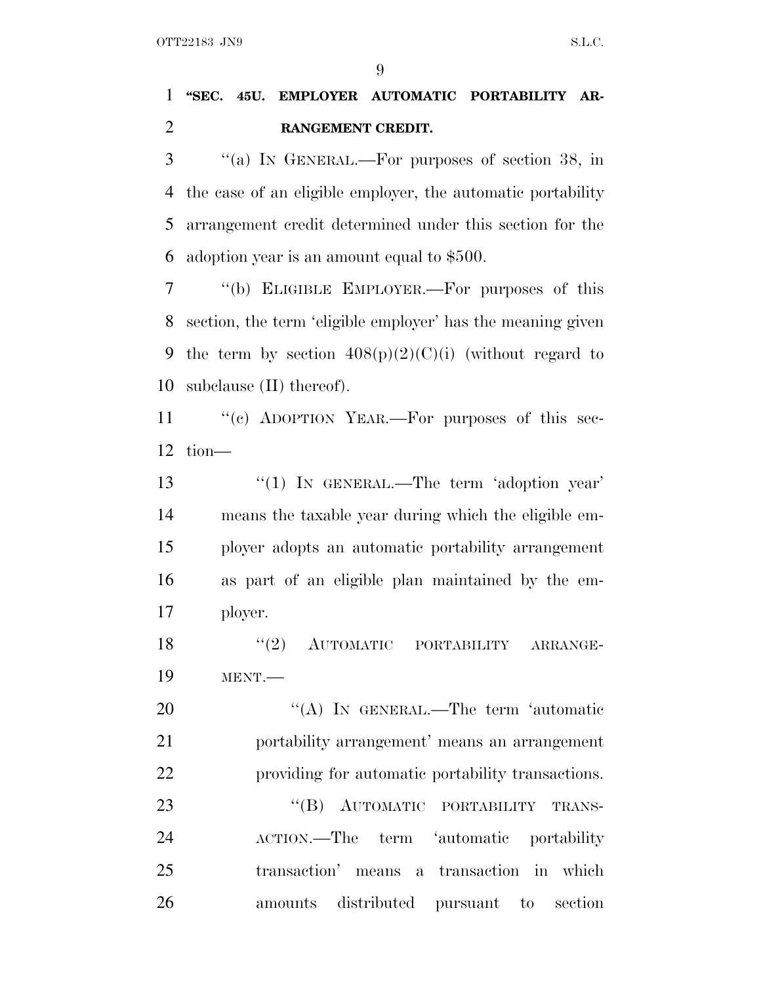### **''SEC. 45U. EMPLOYER AUTOMATIC PORTABILITY AR-RANGEMENT CREDIT.**

 ''(a) I<sup>N</sup> GENERAL.—For purposes of section 38, in the case of an eligible employer, the automatic portability arrangement credit determined under this section for the adoption year is an amount equal to \$500.

 ''(b) ELIGIBLE EMPLOYER.—For purposes of this section, the term 'eligible employer' has the meaning given 9 the term by section  $408(p)(2)(C)(i)$  (without regard to subclause (II) thereof).

11 "(c) ADOPTION YEAR.—For purposes of this sec-tion—

13 "(1) IN GENERAL.—The term 'adoption year' means the taxable year during which the eligible em- ployer adopts an automatic portability arrangement as part of an eligible plan maintained by the em-ployer.

18 "(2) AUTOMATIC PORTABILITY ARRANGE-MENT.—

20 "(A) In GENERAL.—The term 'automatic portability arrangement' means an arrangement providing for automatic portability transactions. 23 "(B) AUTOMATIC PORTABILITY TRANS- ACTION.—The term 'automatic portability transaction' means a transaction in which amounts distributed pursuant to section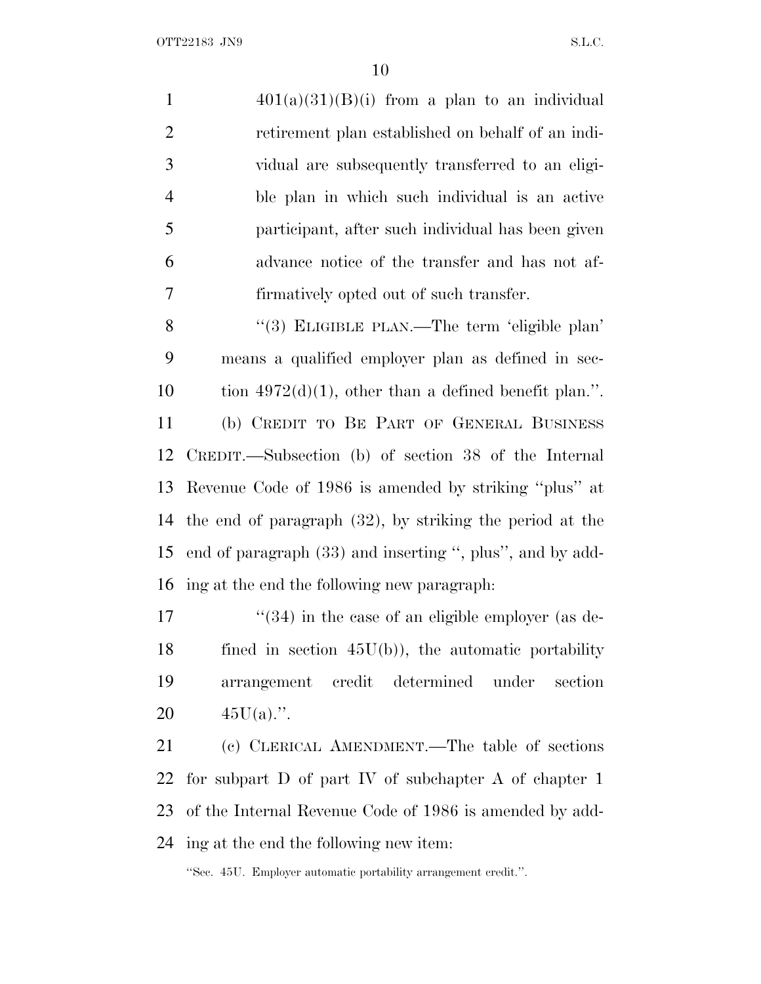OTT22183 JN9 S.L.C.

 $401(a)(31)(B)(i)$  from a plan to an individual retirement plan established on behalf of an indi- vidual are subsequently transferred to an eligi- ble plan in which such individual is an active participant, after such individual has been given advance notice of the transfer and has not af-firmatively opted out of such transfer.

8 "(3) ELIGIBLE PLAN.—The term 'eligible plan' means a qualified employer plan as defined in sec-10 tion  $4972(d)(1)$ , other than a defined benefit plan.". (b) CREDIT TO B<sup>E</sup> PART OF GENERAL BUSINESS CREDIT.—Subsection (b) of section 38 of the Internal Revenue Code of 1986 is amended by striking ''plus'' at the end of paragraph (32), by striking the period at the end of paragraph (33) and inserting '', plus'', and by add-ing at the end the following new paragraph:

 $\frac{17}{2}$  ''(34) in the case of an eligible employer (as de- fined in section 45U(b)), the automatic portability arrangement credit determined under section  $45U(a)$ .".

 (c) CLERICAL AMENDMENT.—The table of sections for subpart D of part IV of subchapter A of chapter 1 of the Internal Revenue Code of 1986 is amended by add-ing at the end the following new item:

''Sec. 45U. Employer automatic portability arrangement credit.''.